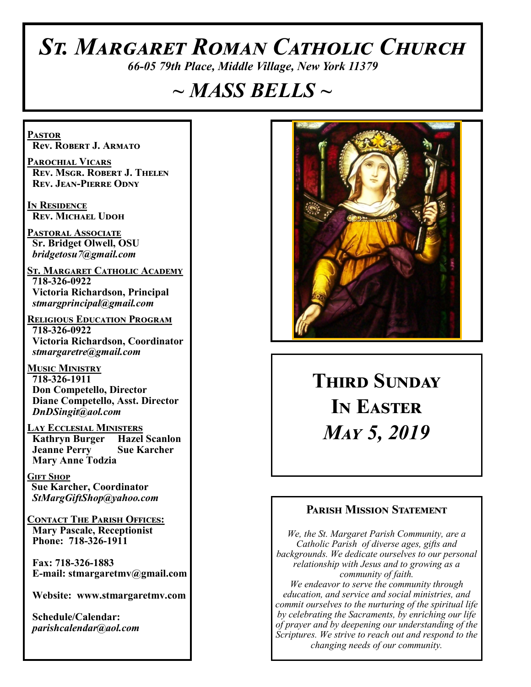# *St. Margaret Roman Catholic Church*

*66-05 79th Place, Middle Village, New York 11379*

# *~ MASS BELLS ~*

**Pastor Rev. Robert J. Armato**

**Parochial Vicars Rev. Msgr. Robert J. Thelen Rev. Jean-Pierre Odny**

**In Residence Rev. Michael Udoh**

**Pastoral Associate Sr. Bridget Olwell, OSU**  *bridgetosu7@gmail.com*

**St. Margaret Catholic Academy 718-326-0922 Victoria Richardson, Principal**  *stmargprincipal@gmail.com*

**Religious Education Program 718-326-0922 Victoria Richardson, Coordinator** *stmargaretre@gmail.com*

**Music Ministry 718-326-1911 Don Competello, Director Diane Competello, Asst. Director** *DnDSingit@aol.com*

**Lay Ecclesial Ministers Kathryn Burger Jeanne Perry Sue Karcher Mary Anne Todzia**

**Gift Shop Sue Karcher, Coordinator** *StMargGiftShop@yahoo.com*

**Contact The Parish Offices: Mary Pascale, Receptionist Phone: 718-326-1911** 

 **Fax: 718-326-1883 E-mail: stmargaretmv@gmail.com**

 **Website: www.stmargaretmv.com**

 **Schedule/Calendar:** *parishcalendar@aol.com* 



**THIRD SUNDAY In Easter**  *May 5, 2019* 

#### **Parish Mission Statement**

*We, the St. Margaret Parish Community, are a Catholic Parish of diverse ages, gifts and backgrounds. We dedicate ourselves to our personal relationship with Jesus and to growing as a community of faith. We endeavor to serve the community through education, and service and social ministries, and commit ourselves to the nurturing of the spiritual life by celebrating the Sacraments, by enriching our life of prayer and by deepening our understanding of the Scriptures. We strive to reach out and respond to the changing needs of our community.*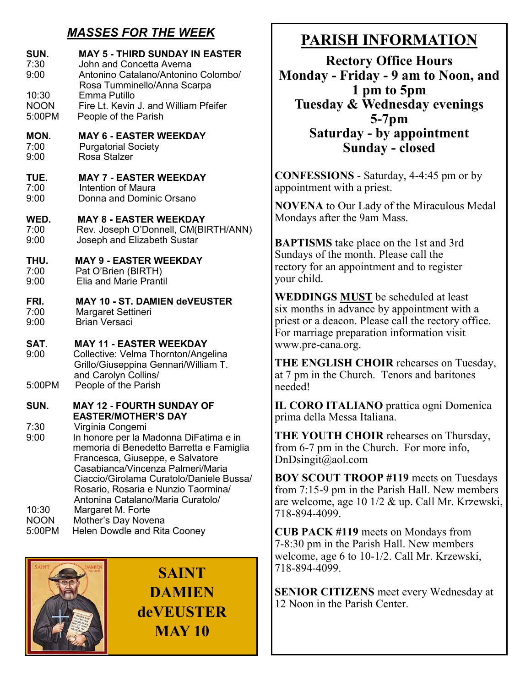# *MASSES FOR THE WEEK*

| SUN.<br>7:30<br>9:00<br>10:30<br><b>NOON</b><br>5:00PM | <b>MAY 5 - THIRD SUNDAY IN EASTER</b><br>John and Concetta Averna<br>Antonino Catalano/Antonino Colombo/<br>Rosa Tumminello/Anna Scarpa<br>Emma Putillo<br>Fire Lt. Kevin J. and William Pfeifer<br>People of the Parish                                                                                |  |
|--------------------------------------------------------|---------------------------------------------------------------------------------------------------------------------------------------------------------------------------------------------------------------------------------------------------------------------------------------------------------|--|
| MON.                                                   | <b>MAY 6 - EASTER WEEKDAY</b>                                                                                                                                                                                                                                                                           |  |
| 7:00                                                   | <b>Purgatorial Society</b>                                                                                                                                                                                                                                                                              |  |
| 9:00                                                   | Rosa Stalzer                                                                                                                                                                                                                                                                                            |  |
| TUE.                                                   | <b>MAY 7 - EASTER WEEKDAY</b>                                                                                                                                                                                                                                                                           |  |
| 7:00                                                   | Intention of Maura                                                                                                                                                                                                                                                                                      |  |
| 9:00                                                   | Donna and Dominic Orsano                                                                                                                                                                                                                                                                                |  |
| WED.                                                   | <b>MAY 8 - EASTER WEEKDAY</b>                                                                                                                                                                                                                                                                           |  |
| 7:00                                                   | Rev. Joseph O'Donnell, CM(BIRTH/ANN)                                                                                                                                                                                                                                                                    |  |
| 9:00                                                   | Joseph and Elizabeth Sustar                                                                                                                                                                                                                                                                             |  |
| THU.                                                   | <b>MAY 9 - EASTER WEEKDAY</b>                                                                                                                                                                                                                                                                           |  |
| 7:00                                                   | Pat O'Brien (BIRTH)                                                                                                                                                                                                                                                                                     |  |
| 9:00                                                   | <b>Elia and Marie Prantil</b>                                                                                                                                                                                                                                                                           |  |
| FRI.                                                   | <b>MAY 10 - ST. DAMIEN deVEUSTER</b>                                                                                                                                                                                                                                                                    |  |
| 7:00                                                   | Margaret Settineri                                                                                                                                                                                                                                                                                      |  |
| 9:00                                                   | <b>Brian Versaci</b>                                                                                                                                                                                                                                                                                    |  |
| SAT.<br>9:00                                           | <b>MAY 11 - EASTER WEEKDAY</b><br>Collective: Velma Thornton/Angelina<br>Grillo/Giuseppina Gennari/William T.<br>and Carolyn Collins/                                                                                                                                                                   |  |
| 5:00PM                                                 | People of the Parish                                                                                                                                                                                                                                                                                    |  |
| SUN.                                                   | <b>MAY 12 - FOURTH SUNDAY OF</b><br><b>EASTER/MOTHER'S DAY</b>                                                                                                                                                                                                                                          |  |
| 7:30<br>9:00                                           | Virginia Congemi<br>In honore per la Madonna DiFatima e in<br>memoria di Benedetto Barretta e Famiglia<br>Francesca, Giuseppe, e Salvatore<br>Casabianca/Vincenza Palmeri/Maria<br>Ciaccio/Girolama Curatolo/Daniele Bussa/<br>Rosario, Rosaria e Nunzio Taormina/<br>Antonina Catalano/Maria Curatolo/ |  |
| 10:30                                                  | Margaret M. Forte                                                                                                                                                                                                                                                                                       |  |
| <b>NOON</b>                                            | Mother's Day Novena                                                                                                                                                                                                                                                                                     |  |
| 5:00PM                                                 | <b>Helen Dowdle and Rita Cooney</b>                                                                                                                                                                                                                                                                     |  |

**SAINT DAMIEN deVEUSTER MAY 10**

# **PARISH INFORMATION**

**Rectory Office Hours Monday - Friday - 9 am to Noon, and 1 pm to 5pm Tuesday & Wednesday evenings 5-7pm Saturday - by appointment Sunday - closed**

**CONFESSIONS** - Saturday, 4-4:45 pm or by appointment with a priest.

**NOVENA** to Our Lady of the Miraculous Medal Mondays after the 9am Mass.

**BAPTISMS** take place on the 1st and 3rd Sundays of the month. Please call the rectory for an appointment and to register your child.

**WEDDINGS MUST** be scheduled at least six months in advance by appointment with a priest or a deacon. Please call the rectory office. For marriage preparation information visit www.pre-cana.org.

**THE ENGLISH CHOIR** rehearses on Tuesday, at 7 pm in the Church. Tenors and baritones needed!

**IL CORO ITALIANO** prattica ogni Domenica prima della Messa Italiana.

**THE YOUTH CHOIR** rehearses on Thursday, from 6-7 pm in the Church. For more info, DnDsingit@aol.com

**BOY SCOUT TROOP #119** meets on Tuesdays from 7:15-9 pm in the Parish Hall. New members are welcome, age 10 1/2 & up. Call Mr. Krzewski, 718-894-4099.

**CUB PACK #119** meets on Mondays from 7-8:30 pm in the Parish Hall. New members welcome, age 6 to 10-1/2. Call Mr. Krzewski, 718-894-4099.

**SENIOR CITIZENS** meet every Wednesday at 12 Noon in the Parish Center.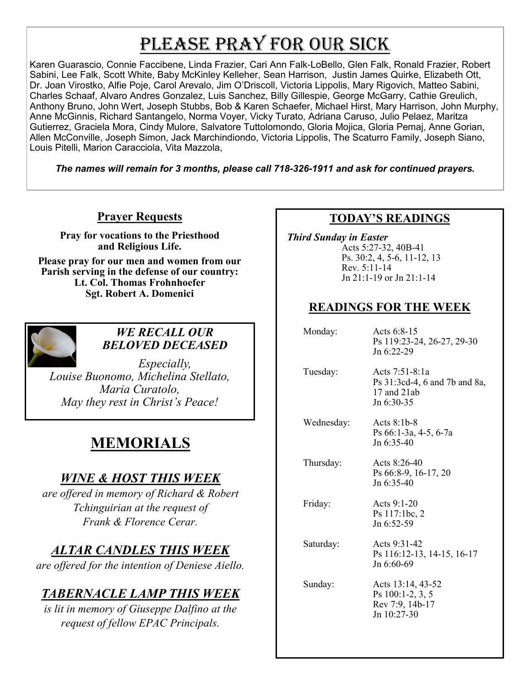# PLEASE PRAY FOR OUR SICK

Karen Guarascio, Connie Faccibene, Linda Frazier, Cari Ann Falk-LoBello, Glen Falk, Ronald Frazier, Robert Sabini, Lee Falk, Scott White, Baby McKinley Kelleher, Sean Harrison, Justin James Quirke, Elizabeth Ott, Dr. Joan Virostko, Alfie Poje, Carol Arevalo, Jim O'Driscoll, Victoria Lippolis, Mary Rigovich, Matteo Sabini, Charles Schaaf, Alvaro Andres Gonzalez, Luis Sanchez, Billy Gillespie, George McGarry, Cathie Greulich, Anthony Bruno, John Wert, Joseph Stubbs, Bob & Karen Schaefer, Michael Hirst, Mary Harrison, John Murphy, Anne McGinnis, Richard Santangelo, Norma Voyer, Vicky Turato, Adriana Caruso, Julio Pelaez, Maritza Gutierrez, Graciela Mora, Cindy Mulore, Salvatore Tuttolomondo, Gloria Mojica, Gloria Pemaj, Anne Gorian, Allen McConville, Joseph Simon, Jack Marchindiondo, Victoria Lippolis, The Scaturro Family, Joseph Siano, Louis Pitelli, Marion Caracciola, Vita Mazzola,

*The names will remain for 3 months, please call 718-326-1911 and ask for continued prayers.*

#### **Prayer Requests**

**Pray for vocations to the Priesthood and Religious Life.** 

**Please pray for our men and women from our Parish serving in the defense of our country: Lt. Col. Thomas Frohnhoefer Sgt. Robert A. Domenici** 



#### *WE RECALL OUR BELOVED DECEASED*

*Especially, Louise Buonomo, Michelina Stellato, Maria Curatolo, May they rest in Christ's Peace!*

# **MEMORIALS**

# *WINE & HOST THIS WEEK*

*are offered in memory of Richard & Robert Tchinguirian at the request of Frank & Florence Cerar.*

# *ALTAR CANDLES THIS WEEK*

*are offered for the intention of Deniese Aiello.*

# *TABERNACLE LAMP THIS WEEK*

*is lit in memory of Giuseppe Dalfino at the request of fellow EPAC Principals.*

#### **TODAY'S READINGS**

 *Third Sunday in Easter* Acts 5:27-32, 40B-41 Ps. 30:2, 4, 5-6, 11-12, 13 Rev. 5:11-14 Jn 21:1-19 or Jn 21:1-14

#### **READINGS FOR THE WEEK**

| Monday:    | Acts 6:8-15<br>Ps 119:23-24, 26-27, 29-30<br>Jn $6:22-29$                        |
|------------|----------------------------------------------------------------------------------|
| Tuesday:   | Acts $7:51-8:1a$<br>Ps 31:3cd-4, 6 and 7b and 8a,<br>17 and $21ab$<br>Jn 6:30-35 |
| Wednesday: | Acts $8:1b-8$<br>Ps 66:1-3a, 4-5, 6-7a<br>Jn 6:35-40                             |
| Thursday:  | Acts $8:26-40$<br>Ps 66:8-9, 16-17, 20<br>Jn 6:35-40                             |
| Friday:    | Acts 9:1-20<br>Ps 117:1bc, 2<br>Jn 6:52-59                                       |
| Saturday:  | Acts 9:31-42<br>Ps 116:12-13, 14-15, 16-17<br>Jn 6:60-69                         |
| Sunday:    | Acts 13:14, 43-52<br>Ps $100:1-2, 3, 5$<br>Rev 7:9, 14b-17<br>Jn 10:27-30        |
|            |                                                                                  |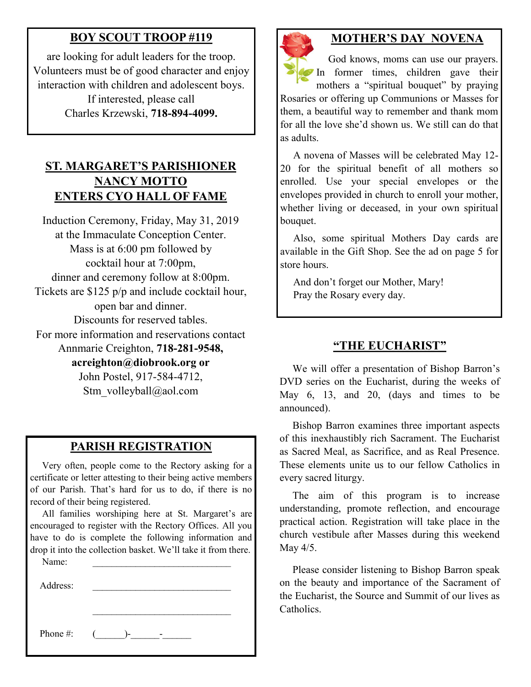#### **BOY SCOUT TROOP #119**

are looking for adult leaders for the troop. Volunteers must be of good character and enjoy interaction with children and adolescent boys. If interested, please call Charles Krzewski, **718-894-4099.**

#### **ST. MARGARET'S PARISHIONER NANCY MOTTO ENTERS CYO HALL OF FAME**

Induction Ceremony, Friday, May 31, 2019 at the Immaculate Conception Center. Mass is at 6:00 pm followed by cocktail hour at 7:00pm, dinner and ceremony follow at 8:00pm. Tickets are \$125 p/p and include cocktail hour, open bar and dinner. Discounts for reserved tables. For more information and reservations contact Annmarie Creighton, **718-281-9548, acreighton@diobrook.org or** John Postel, 917-584-4712, Stm\_volleyball@aol.com

#### **PARISH REGISTRATION**

 Very often, people come to the Rectory asking for a certificate or letter attesting to their being active members of our Parish. That's hard for us to do, if there is no record of their being registered.

 All families worshiping here at St. Margaret's are encouraged to register with the Rectory Offices. All you have to do is complete the following information and drop it into the collection basket. We'll take it from there.

| Name:    |        |
|----------|--------|
| Address: |        |
|          |        |
|          |        |
| Phone #: | $($ )- |
|          |        |



#### **MOTHER'S DAY NOVENA**

 God knows, moms can use our prayers. In former times, children gave their mothers a "spiritual bouquet" by praying Rosaries or offering up Communions or Masses for them, a beautiful way to remember and thank mom for all the love she'd shown us. We still can do that as adults.

 A novena of Masses will be celebrated May 12- 20 for the spiritual benefit of all mothers so enrolled. Use your special envelopes or the envelopes provided in church to enroll your mother, whether living or deceased, in your own spiritual bouquet.

 Also, some spiritual Mothers Day cards are available in the Gift Shop. See the ad on page 5 for store hours.

 And don't forget our Mother, Mary! Pray the Rosary every day.

#### **"THE EUCHARIST"**

 We will offer a presentation of Bishop Barron's DVD series on the Eucharist, during the weeks of May 6, 13, and 20, (days and times to be announced).

 Bishop Barron examines three important aspects of this inexhaustibly rich Sacrament. The Eucharist as Sacred Meal, as Sacrifice, and as Real Presence. These elements unite us to our fellow Catholics in every sacred liturgy.

 The aim of this program is to increase understanding, promote reflection, and encourage practical action. Registration will take place in the church vestibule after Masses during this weekend May 4/5.

 Please consider listening to Bishop Barron speak on the beauty and importance of the Sacrament of the Eucharist, the Source and Summit of our lives as Catholics.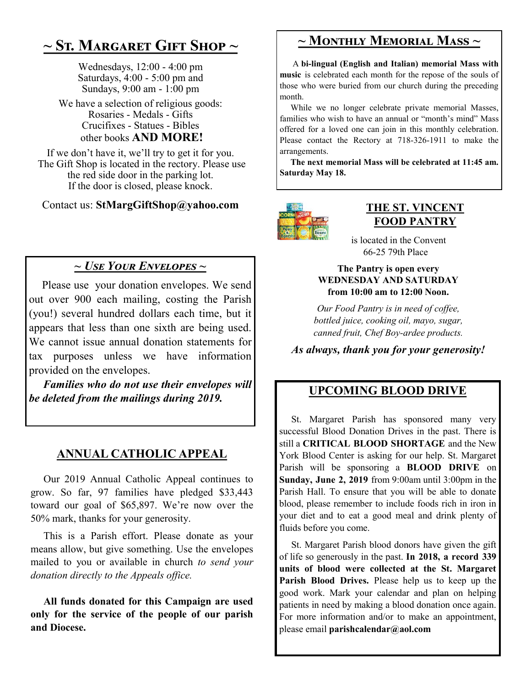# **~ St. Margaret Gift Shop ~**

Wednesdays, 12:00 - 4:00 pm Saturdays, 4:00 - 5:00 pm and Sundays, 9:00 am - 1:00 pm

We have a selection of religious goods: Rosaries - Medals - Gifts Crucifixes - Statues - Bibles other books **AND MORE!**

If we don't have it, we'll try to get it for you. The Gift Shop is located in the rectory. Please use the red side door in the parking lot. If the door is closed, please knock.

Contact us: **StMargGiftShop@yahoo.com**

### *~ Use Your Envelopes ~*

 Please use your donation envelopes. We send out over 900 each mailing, costing the Parish (you!) several hundred dollars each time, but it appears that less than one sixth are being used. We cannot issue annual donation statements for tax purposes unless we have information provided on the envelopes.

 *Families who do not use their envelopes will be deleted from the mailings during 2019.*

### **ANNUAL CATHOLIC APPEAL**

 Our 2019 Annual Catholic Appeal continues to grow. So far, 97 families have pledged \$33,443 toward our goal of \$65,897. We're now over the 50% mark, thanks for your generosity.

 This is a Parish effort. Please donate as your means allow, but give something. Use the envelopes mailed to you or available in church *to send your donation directly to the Appeals office.* 

 **All funds donated for this Campaign are used only for the service of the people of our parish and Diocese.**

## **~ Monthly Memorial Mass ~**

 A **bi-lingual (English and Italian) memorial Mass with music** is celebrated each month for the repose of the souls of those who were buried from our church during the preceding month.

 While we no longer celebrate private memorial Masses, families who wish to have an annual or "month's mind" Mass offered for a loved one can join in this monthly celebration. Please contact the Rectory at 718-326-1911 to make the arrangements.

 **The next memorial Mass will be celebrated at 11:45 am. Saturday May 18.** 



#### **THE ST. VINCENT FOOD PANTRY**

 is located in the Convent 66-25 79th Place

#### **The Pantry is open every WEDNESDAY AND SATURDAY from 10:00 am to 12:00 Noon.**

*Our Food Pantry is in need of coffee, bottled juice, cooking oil, mayo, sugar, canned fruit, Chef Boy-ardee products.* 

*As always, thank you for your generosity!*

#### **UPCOMING BLOOD DRIVE**

 St. Margaret Parish has sponsored many very successful Blood Donation Drives in the past. There is still a **CRITICAL BLOOD SHORTAGE** and the New York Blood Center is asking for our help. St. Margaret Parish will be sponsoring a **BLOOD DRIVE** on **Sunday, June 2, 2019** from 9:00am until 3:00pm in the Parish Hall. To ensure that you will be able to donate blood, please remember to include foods rich in iron in your diet and to eat a good meal and drink plenty of fluids before you come.

 St. Margaret Parish blood donors have given the gift of life so generously in the past. **In 2018, a record 339 units of blood were collected at the St. Margaret Parish Blood Drives.** Please help us to keep up the good work. Mark your calendar and plan on helping patients in need by making a blood donation once again. For more information and/or to make an appointment, please email **parishcalendar@aol.com**